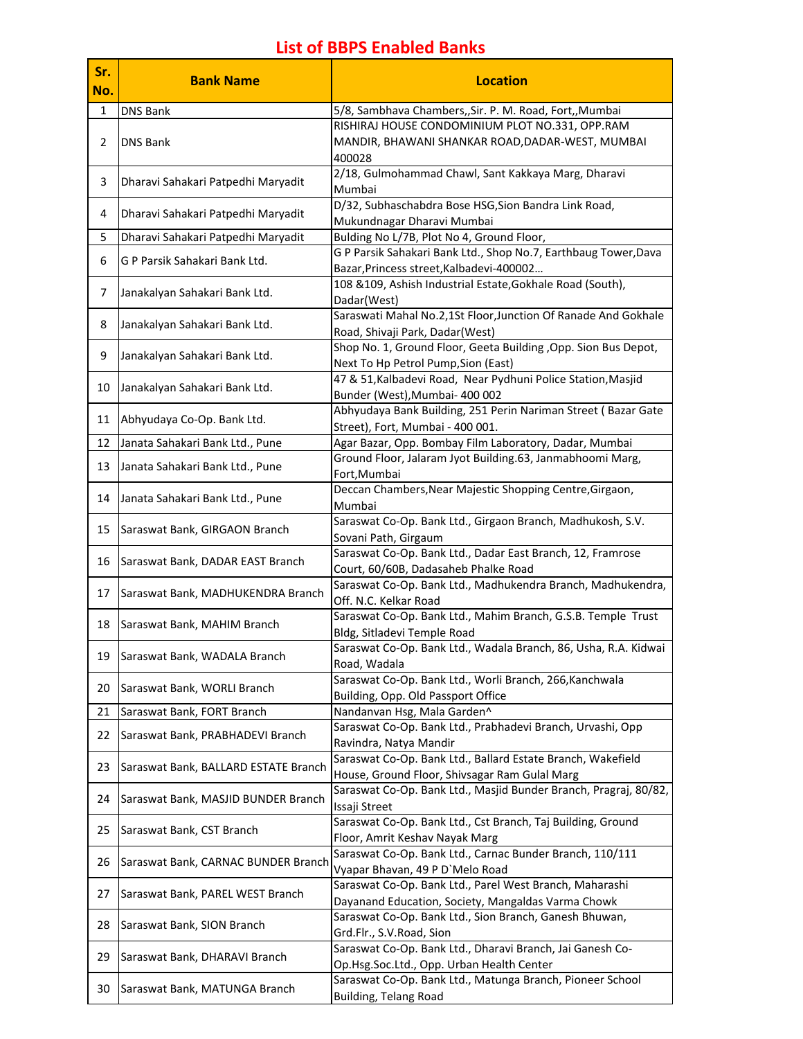## **List of BBPS Enabled Banks**

| Sr.<br>No. | <b>Bank Name</b>                     | <b>Location</b>                                                                                               |
|------------|--------------------------------------|---------------------------------------------------------------------------------------------------------------|
| 1          | <b>DNS Bank</b>                      | 5/8, Sambhava Chambers,, Sir. P. M. Road, Fort,, Mumbai                                                       |
| 2          | <b>DNS Bank</b>                      | RISHIRAJ HOUSE CONDOMINIUM PLOT NO.331, OPP.RAM<br>MANDIR, BHAWANI SHANKAR ROAD, DADAR-WEST, MUMBAI<br>400028 |
| 3          | Dharavi Sahakari Patpedhi Maryadit   | 2/18, Gulmohammad Chawl, Sant Kakkaya Marg, Dharavi<br>Mumbai                                                 |
| 4          | Dharavi Sahakari Patpedhi Maryadit   | D/32, Subhaschabdra Bose HSG, Sion Bandra Link Road,<br>Mukundnagar Dharavi Mumbai                            |
| 5          | Dharavi Sahakari Patpedhi Maryadit   | Bulding No L/7B, Plot No 4, Ground Floor,                                                                     |
| 6          | G P Parsik Sahakari Bank Ltd.        | G P Parsik Sahakari Bank Ltd., Shop No.7, Earthbaug Tower, Dava<br>Bazar, Princess street, Kalbadevi-400002   |
| 7          | Janakalyan Sahakari Bank Ltd.        | 108 &109, Ashish Industrial Estate, Gokhale Road (South),<br>Dadar(West)                                      |
| 8          | Janakalyan Sahakari Bank Ltd.        | Saraswati Mahal No.2,1St Floor, Junction Of Ranade And Gokhale<br>Road, Shivaji Park, Dadar(West)             |
| 9          | Janakalyan Sahakari Bank Ltd.        | Shop No. 1, Ground Floor, Geeta Building , Opp. Sion Bus Depot,<br>Next To Hp Petrol Pump, Sion (East)        |
| 10         | Janakalyan Sahakari Bank Ltd.        | 47 & 51, Kalbadevi Road, Near Pydhuni Police Station, Masjid<br>Bunder (West), Mumbai- 400 002                |
| 11         | Abhyudaya Co-Op. Bank Ltd.           | Abhyudaya Bank Building, 251 Perin Nariman Street (Bazar Gate<br>Street), Fort, Mumbai - 400 001.             |
| 12         | Janata Sahakari Bank Ltd., Pune      | Agar Bazar, Opp. Bombay Film Laboratory, Dadar, Mumbai                                                        |
| 13         | Janata Sahakari Bank Ltd., Pune      | Ground Floor, Jalaram Jyot Building.63, Janmabhoomi Marg,<br>Fort, Mumbai                                     |
| 14         | Janata Sahakari Bank Ltd., Pune      | Deccan Chambers, Near Majestic Shopping Centre, Girgaon,<br>Mumbai                                            |
| 15         | Saraswat Bank, GIRGAON Branch        | Saraswat Co-Op. Bank Ltd., Girgaon Branch, Madhukosh, S.V.<br>Sovani Path, Girgaum                            |
| 16         | Saraswat Bank, DADAR EAST Branch     | Saraswat Co-Op. Bank Ltd., Dadar East Branch, 12, Framrose<br>Court, 60/60B, Dadasaheb Phalke Road            |
| 17         | Saraswat Bank, MADHUKENDRA Branch    | Saraswat Co-Op. Bank Ltd., Madhukendra Branch, Madhukendra,<br>Off. N.C. Kelkar Road                          |
| 18         | Saraswat Bank, MAHIM Branch          | Saraswat Co-Op. Bank Ltd., Mahim Branch, G.S.B. Temple Trust<br>Bldg, Sitladevi Temple Road                   |
| 19         | Saraswat Bank, WADALA Branch         | Saraswat Co-Op. Bank Ltd., Wadala Branch, 86, Usha, R.A. Kidwai<br>Road, Wadala                               |
| 20         | Saraswat Bank, WORLI Branch          | Saraswat Co-Op. Bank Ltd., Worli Branch, 266, Kanchwala<br>Building, Opp. Old Passport Office                 |
| 21         | Saraswat Bank, FORT Branch           | Nandanvan Hsg, Mala Garden^                                                                                   |
| 22         | Saraswat Bank, PRABHADEVI Branch     | Saraswat Co-Op. Bank Ltd., Prabhadevi Branch, Urvashi, Opp<br>Ravindra, Natya Mandir                          |
| 23         | Saraswat Bank, BALLARD ESTATE Branch | Saraswat Co-Op. Bank Ltd., Ballard Estate Branch, Wakefield<br>House, Ground Floor, Shivsagar Ram Gulal Marg  |
| 24         | Saraswat Bank, MASJID BUNDER Branch  | Saraswat Co-Op. Bank Ltd., Masjid Bunder Branch, Pragraj, 80/82,<br>Issaji Street                             |
| 25         | Saraswat Bank, CST Branch            | Saraswat Co-Op. Bank Ltd., Cst Branch, Taj Building, Ground<br>Floor, Amrit Keshav Nayak Marg                 |
| 26         | Saraswat Bank, CARNAC BUNDER Branch  | Saraswat Co-Op. Bank Ltd., Carnac Bunder Branch, 110/111<br>Vyapar Bhavan, 49 P D'Melo Road                   |
| 27         | Saraswat Bank, PAREL WEST Branch     | Saraswat Co-Op. Bank Ltd., Parel West Branch, Maharashi<br>Dayanand Education, Society, Mangaldas Varma Chowk |
| 28         | Saraswat Bank, SION Branch           | Saraswat Co-Op. Bank Ltd., Sion Branch, Ganesh Bhuwan,<br>Grd.Flr., S.V.Road, Sion                            |
| 29         | Saraswat Bank, DHARAVI Branch        | Saraswat Co-Op. Bank Ltd., Dharavi Branch, Jai Ganesh Co-<br>Op.Hsg.Soc.Ltd., Opp. Urban Health Center        |
| 30         | Saraswat Bank, MATUNGA Branch        | Saraswat Co-Op. Bank Ltd., Matunga Branch, Pioneer School<br>Building, Telang Road                            |